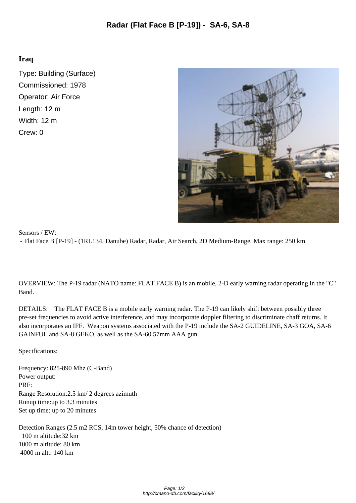## **Iraq**

Type: Building (Surface) Commissioned: 1978 Operator: Air Force Length: 12 m Width: 12 m Crew: 0



## Sensors / EW: - Flat Face B [P-19] - (1RL134, Danube) Radar, Radar, Air [Search, 2D Medium-Range, Max range: 250 km](http://cmano-db.com/images/DB3000/facility_1698.jpg)

OVERVIEW: The P-19 radar (NATO name: FLAT FACE B) is an mobile, 2-D early warning radar operating in the "C" Band.

DETAILS: The FLAT FACE B is a mobile early warning radar. The P-19 can likely shift between possibly three pre-set frequencies to avoid active interference, and may incorporate doppler filtering to discriminate chaff returns. It also incorporates an IFF. Weapon systems associated with the P-19 include the SA-2 GUIDELINE, SA-3 GOA, SA-6 GAINFUL and SA-8 GEKO, as well as the SA-60 57mm AAA gun.

Specifications:

Frequency: 825-890 Mhz (C-Band) Power output: PRF: Range Resolution: 2.5 km/ 2 degrees azimuth Runup time: up to 3.3 minutes Set up time: up to  $20$  minutes

Detection Ranges (2.5 m2 RCS, 14m tower height, 50% chance of detection) 100 m altitude: 32 km 1000 m altitude: 80 km 4000 m alt.: 140 km